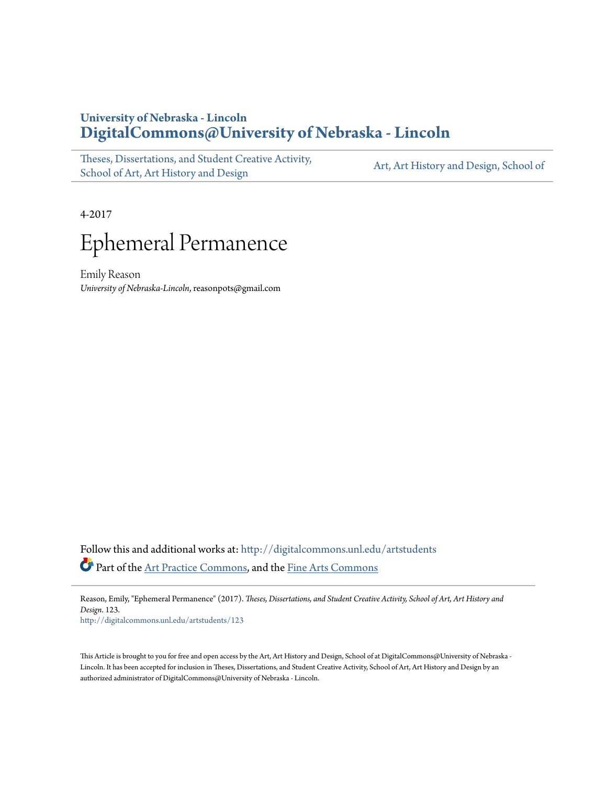## **University of Nebraska - Lincoln [DigitalCommons@University of Nebraska - Lincoln](http://digitalcommons.unl.edu?utm_source=digitalcommons.unl.edu%2Fartstudents%2F123&utm_medium=PDF&utm_campaign=PDFCoverPages)**

[Theses, Dissertations, and Student Creative Activity,](http://digitalcommons.unl.edu/artstudents?utm_source=digitalcommons.unl.edu%2Fartstudents%2F123&utm_medium=PDF&utm_campaign=PDFCoverPages) [School of Art, Art History and Design](http://digitalcommons.unl.edu/artstudents?utm_source=digitalcommons.unl.edu%2Fartstudents%2F123&utm_medium=PDF&utm_campaign=PDFCoverPages)

[Art, Art History and Design, School of](http://digitalcommons.unl.edu/art?utm_source=digitalcommons.unl.edu%2Fartstudents%2F123&utm_medium=PDF&utm_campaign=PDFCoverPages)

4-2017



Emily Reason *University of Nebraska-Lincoln*, reasonpots@gmail.com

Follow this and additional works at: [http://digitalcommons.unl.edu/artstudents](http://digitalcommons.unl.edu/artstudents?utm_source=digitalcommons.unl.edu%2Fartstudents%2F123&utm_medium=PDF&utm_campaign=PDFCoverPages) Part of the [Art Practice Commons](http://network.bepress.com/hgg/discipline/509?utm_source=digitalcommons.unl.edu%2Fartstudents%2F123&utm_medium=PDF&utm_campaign=PDFCoverPages), and the [Fine Arts Commons](http://network.bepress.com/hgg/discipline/1141?utm_source=digitalcommons.unl.edu%2Fartstudents%2F123&utm_medium=PDF&utm_campaign=PDFCoverPages)

Reason, Emily, "Ephemeral Permanence" (2017). *Theses, Dissertations, and Student Creative Activity, School of Art, Art History and Design*. 123.

[http://digitalcommons.unl.edu/artstudents/123](http://digitalcommons.unl.edu/artstudents/123?utm_source=digitalcommons.unl.edu%2Fartstudents%2F123&utm_medium=PDF&utm_campaign=PDFCoverPages)

This Article is brought to you for free and open access by the Art, Art History and Design, School of at DigitalCommons@University of Nebraska -Lincoln. It has been accepted for inclusion in Theses, Dissertations, and Student Creative Activity, School of Art, Art History and Design by an authorized administrator of DigitalCommons@University of Nebraska - Lincoln.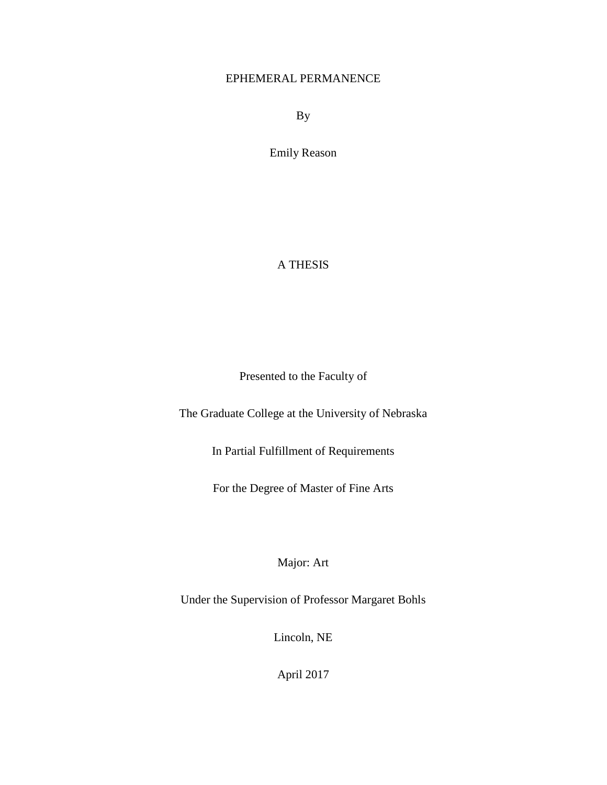## EPHEMERAL PERMANENCE

By

Emily Reason

## A THESIS

Presented to the Faculty of

The Graduate College at the University of Nebraska

In Partial Fulfillment of Requirements

For the Degree of Master of Fine Arts

Major: Art

Under the Supervision of Professor Margaret Bohls

Lincoln, NE

April 2017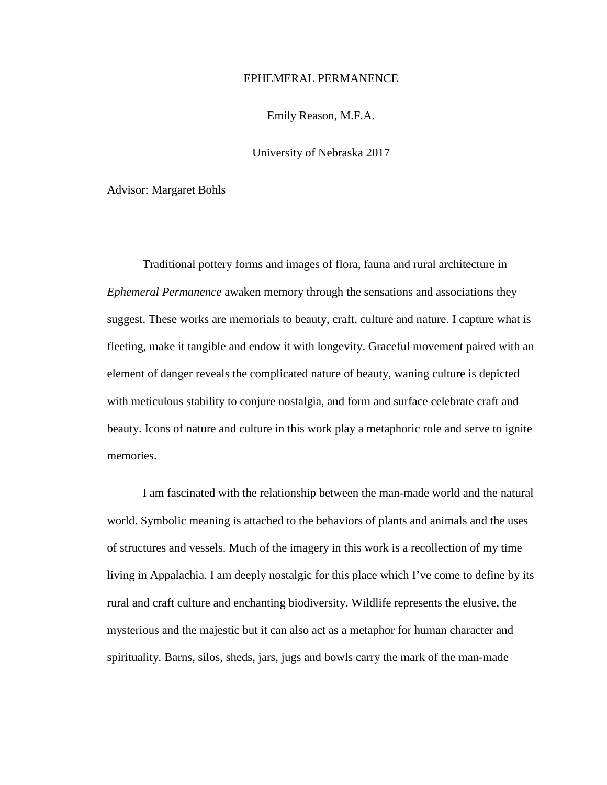## EPHEMERAL PERMANENCE

Emily Reason, M.F.A.

University of Nebraska 2017

Advisor: Margaret Bohls

Traditional pottery forms and images of flora, fauna and rural architecture in *Ephemeral Permanence* awaken memory through the sensations and associations they suggest. These works are memorials to beauty, craft, culture and nature. I capture what is fleeting, make it tangible and endow it with longevity. Graceful movement paired with an element of danger reveals the complicated nature of beauty, waning culture is depicted with meticulous stability to conjure nostalgia, and form and surface celebrate craft and beauty. Icons of nature and culture in this work play a metaphoric role and serve to ignite memories.

I am fascinated with the relationship between the man-made world and the natural world. Symbolic meaning is attached to the behaviors of plants and animals and the uses of structures and vessels. Much of the imagery in this work is a recollection of my time living in Appalachia. I am deeply nostalgic for this place which I've come to define by its rural and craft culture and enchanting biodiversity. Wildlife represents the elusive, the mysterious and the majestic but it can also act as a metaphor for human character and spirituality. Barns, silos, sheds, jars, jugs and bowls carry the mark of the man-made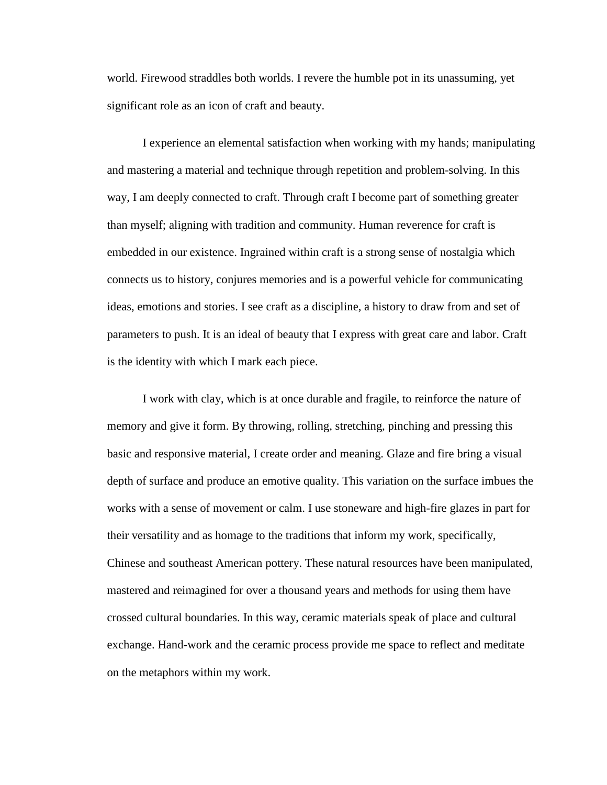world. Firewood straddles both worlds. I revere the humble pot in its unassuming, yet significant role as an icon of craft and beauty.

I experience an elemental satisfaction when working with my hands; manipulating and mastering a material and technique through repetition and problem-solving. In this way, I am deeply connected to craft. Through craft I become part of something greater than myself; aligning with tradition and community. Human reverence for craft is embedded in our existence. Ingrained within craft is a strong sense of nostalgia which connects us to history, conjures memories and is a powerful vehicle for communicating ideas, emotions and stories. I see craft as a discipline, a history to draw from and set of parameters to push. It is an ideal of beauty that I express with great care and labor. Craft is the identity with which I mark each piece.

I work with clay, which is at once durable and fragile, to reinforce the nature of memory and give it form. By throwing, rolling, stretching, pinching and pressing this basic and responsive material, I create order and meaning. Glaze and fire bring a visual depth of surface and produce an emotive quality. This variation on the surface imbues the works with a sense of movement or calm. I use stoneware and high-fire glazes in part for their versatility and as homage to the traditions that inform my work, specifically, Chinese and southeast American pottery. These natural resources have been manipulated, mastered and reimagined for over a thousand years and methods for using them have crossed cultural boundaries. In this way, ceramic materials speak of place and cultural exchange. Hand-work and the ceramic process provide me space to reflect and meditate on the metaphors within my work.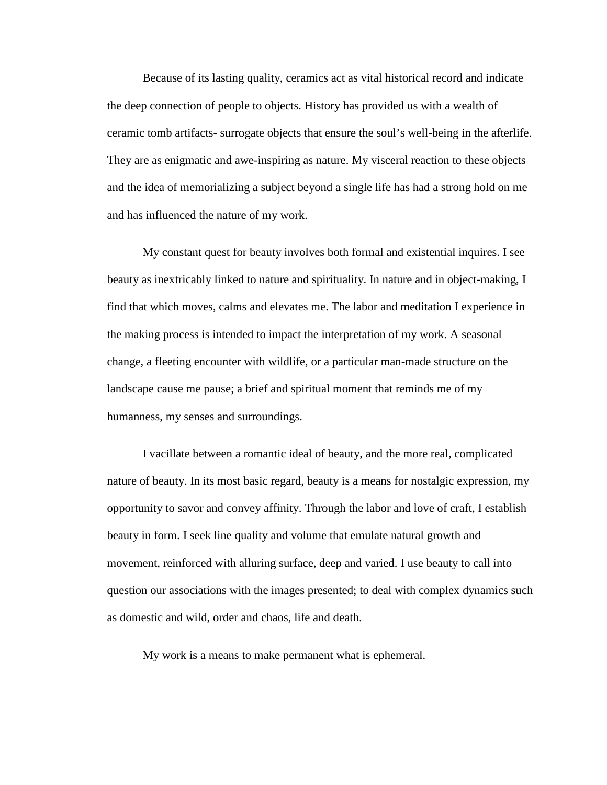Because of its lasting quality, ceramics act as vital historical record and indicate the deep connection of people to objects. History has provided us with a wealth of ceramic tomb artifacts- surrogate objects that ensure the soul's well-being in the afterlife. They are as enigmatic and awe-inspiring as nature. My visceral reaction to these objects and the idea of memorializing a subject beyond a single life has had a strong hold on me and has influenced the nature of my work.

My constant quest for beauty involves both formal and existential inquires. I see beauty as inextricably linked to nature and spirituality. In nature and in object-making, I find that which moves, calms and elevates me. The labor and meditation I experience in the making process is intended to impact the interpretation of my work. A seasonal change, a fleeting encounter with wildlife, or a particular man-made structure on the landscape cause me pause; a brief and spiritual moment that reminds me of my humanness, my senses and surroundings.

I vacillate between a romantic ideal of beauty, and the more real, complicated nature of beauty. In its most basic regard, beauty is a means for nostalgic expression, my opportunity to savor and convey affinity. Through the labor and love of craft, I establish beauty in form. I seek line quality and volume that emulate natural growth and movement, reinforced with alluring surface, deep and varied. I use beauty to call into question our associations with the images presented; to deal with complex dynamics such as domestic and wild, order and chaos, life and death.

My work is a means to make permanent what is ephemeral.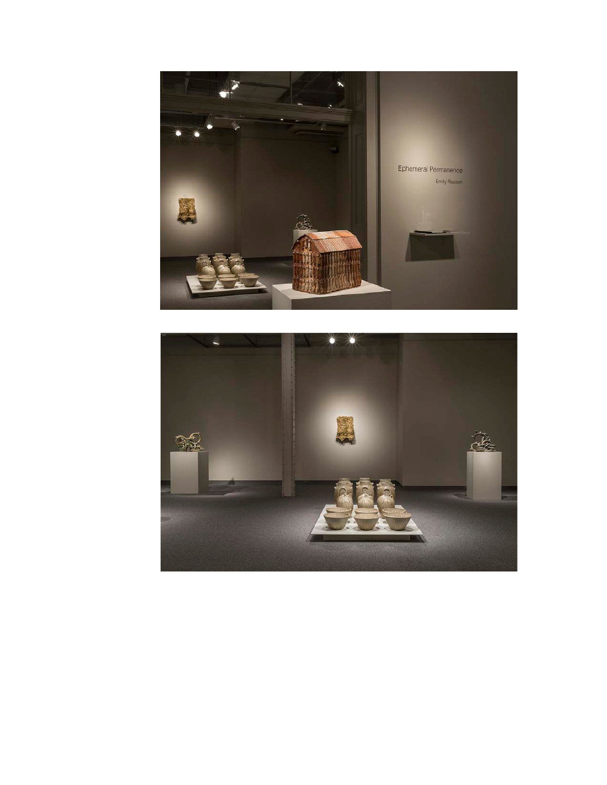

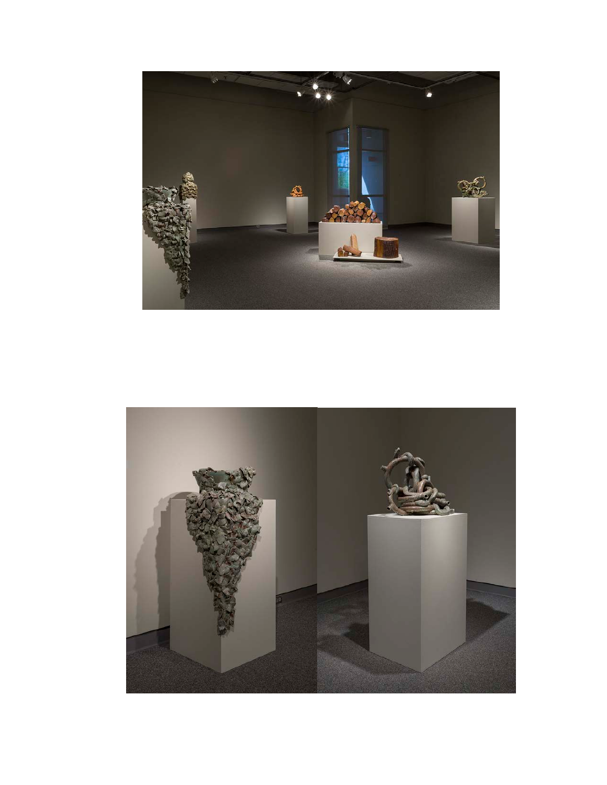

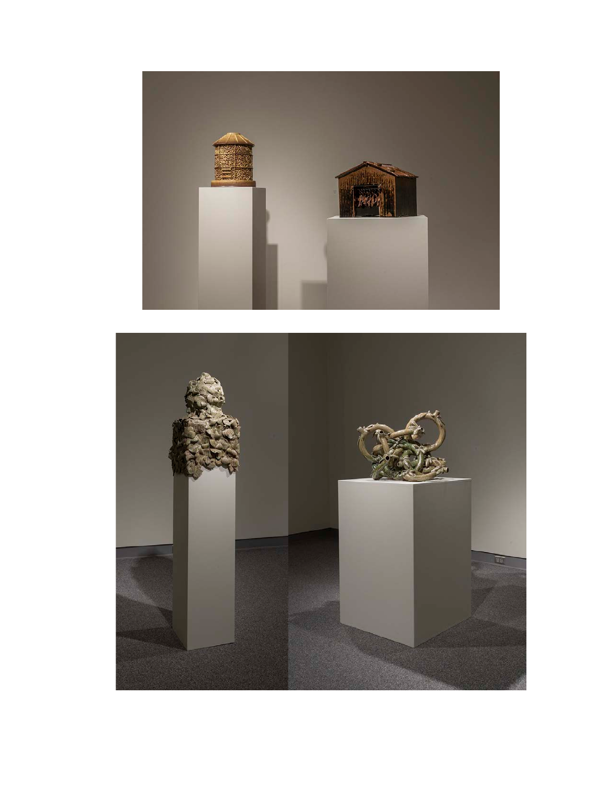